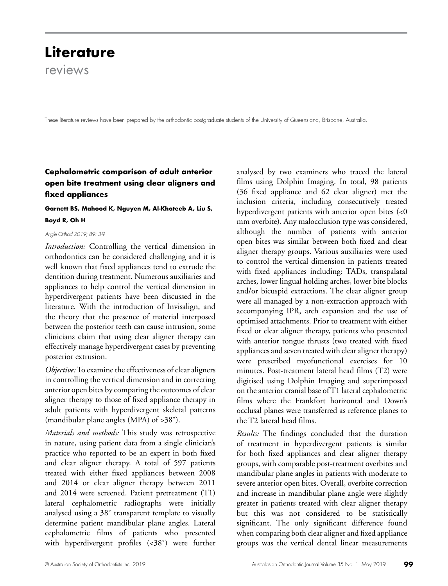# **Literature**

reviews

These literature reviews have been prepared by the orthodontic postgraduate students of the University of Queensland, Brisbane, Australia.

# **Cephalometric comparison of adult anterior open bite treatment using clear aligners and fixed appliances**

# **Garnett BS, Mahood K, Nguyen M, Al-Khateeb A, Liu S, Boyd R, Oh H**

#### *Angle Orthod 2019; 89: 3-9*

*Introduction:* Controlling the vertical dimension in orthodontics can be considered challenging and it is well known that fixed appliances tend to extrude the dentition during treatment. Numerous auxiliaries and appliances to help control the vertical dimension in hyperdivergent patients have been discussed in the literature. With the introduction of Invisalign, and the theory that the presence of material interposed between the posterior teeth can cause intrusion, some clinicians claim that using clear aligner therapy can effectively manage hyperdivergent cases by preventing posterior extrusion.

*Objective:* To examine the effectiveness of clear aligners in controlling the vertical dimension and in correcting anterior open bites by comparing the outcomes of clear aligner therapy to those of fixed appliance therapy in adult patients with hyperdivergent skeletal patterns (mandibular plane angles (MPA) of >38˚).

*Materials and methods:* This study was retrospective in nature, using patient data from a single clinician's practice who reported to be an expert in both fixed and clear aligner therapy. A total of 597 patients treated with either fixed appliances between 2008 and 2014 or clear aligner therapy between 2011 and 2014 were screened. Patient pretreatment (T1) lateral cephalometric radiographs were initially analysed using a 38˚ transparent template to visually determine patient mandibular plane angles. Lateral cephalometric films of patients who presented with hyperdivergent profiles (<38˚) were further analysed by two examiners who traced the lateral films using Dolphin Imaging. In total, 98 patients (36 fixed appliance and 62 clear aligner) met the inclusion criteria, including consecutively treated hyperdivergent patients with anterior open bites (<0 mm overbite). Any malocclusion type was considered, although the number of patients with anterior open bites was similar between both fixed and clear aligner therapy groups. Various auxiliaries were used to control the vertical dimension in patients treated with fixed appliances including: TADs, transpalatal arches, lower lingual holding arches, lower bite blocks and/or bicuspid extractions. The clear aligner group were all managed by a non-extraction approach with accompanying IPR, arch expansion and the use of optimised attachments. Prior to treatment with either fixed or clear aligner therapy, patients who presented with anterior tongue thrusts (two treated with fixed appliances and seven treated with clear aligner therapy) were prescribed myofunctional exercises for 10 minutes. Post-treatment lateral head films (T2) were digitised using Dolphin Imaging and superimposed on the anterior cranial base of T1 lateral cephalometric films where the Frankfort horizontal and Down's occlusal planes were transferred as reference planes to the T2 lateral head films.

*Results:* The findings concluded that the duration of treatment in hyperdivergent patients is similar for both fixed appliances and clear aligner therapy groups, with comparable post-treatment overbites and mandibular plane angles in patients with moderate to severe anterior open bites. Overall, overbite correction and increase in mandibular plane angle were slightly greater in patients treated with clear aligner therapy but this was not considered to be statistically significant. The only significant difference found when comparing both clear aligner and fixed appliance groups was the vertical dental linear measurements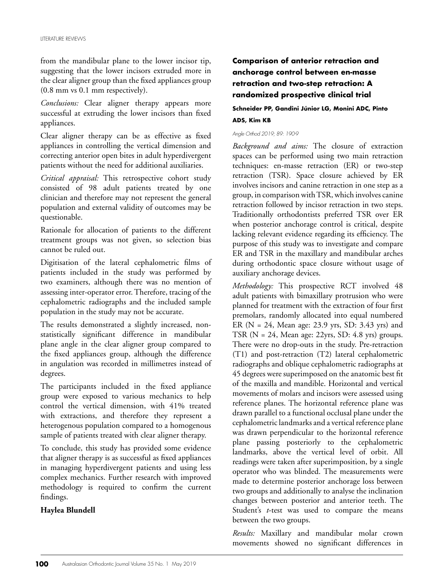from the mandibular plane to the lower incisor tip, suggesting that the lower incisors extruded more in the clear aligner group than the fixed appliances group (0.8 mm vs 0.1 mm respectively).

*Conclusions:* Clear aligner therapy appears more successful at extruding the lower incisors than fixed appliances.

Clear aligner therapy can be as effective as fixed appliances in controlling the vertical dimension and correcting anterior open bites in adult hyperdivergent patients without the need for additional auxiliaries.

*Critical appraisal:* This retrospective cohort study consisted of 98 adult patients treated by one clinician and therefore may not represent the general population and external validity of outcomes may be questionable.

Rationale for allocation of patients to the different treatment groups was not given, so selection bias cannot be ruled out.

Digitisation of the lateral cephalometric films of patients included in the study was performed by two examiners, although there was no mention of assessing inter-operator error. Therefore, tracing of the cephalometric radiographs and the included sample population in the study may not be accurate.

The results demonstrated a slightly increased, nonstatistically significant difference in mandibular plane angle in the clear aligner group compared to the fixed appliances group, although the difference in angulation was recorded in millimetres instead of degrees.

The participants included in the fixed appliance group were exposed to various mechanics to help control the vertical dimension, with 41% treated with extractions, and therefore they represent a heterogenous population compared to a homogenous sample of patients treated with clear aligner therapy.

To conclude, this study has provided some evidence that aligner therapy is as successful as fixed appliances in managing hyperdivergent patients and using less complex mechanics. Further research with improved methodology is required to confirm the current findings.

# **Haylea Blundell**

# **Comparison of anterior retraction and anchorage control between en-masse retraction and two-step retraction: A randomized prospective clinical trial**

## **Schneider PP, Gandini Júnior LG, Monini ADC, Pinto ADS, Kim KB**

## *Angle Orthod 2019; 89: 190-9*

*Background and aims:* The closure of extraction spaces can be performed using two main retraction techniques: en-masse retraction (ER) or two-step retraction (TSR). Space closure achieved by ER involves incisors and canine retraction in one step as a group, in comparison with TSR, which involves canine retraction followed by incisor retraction in two steps. Traditionally orthodontists preferred TSR over ER when posterior anchorage control is critical, despite lacking relevant evidence regarding its efficiency. The purpose of this study was to investigate and compare ER and TSR in the maxillary and mandibular arches during orthodontic space closure without usage of auxiliary anchorage devices.

*Methodology:* This prospective RCT involved 48 adult patients with bimaxillary protrusion who were planned for treatment with the extraction of four first premolars, randomly allocated into equal numbered ER (N = 24, Mean age: 23.9 yrs, SD: 3.43 yrs) and TSR  $(N = 24)$ , Mean age: 22yrs, SD: 4.8 yrs) groups. There were no drop-outs in the study. Pre-retraction (T1) and post-retraction (T2) lateral cephalometric radiographs and oblique cephalometric radiographs at 45 degrees were superimposed on the anatomic best fit of the maxilla and mandible. Horizontal and vertical movements of molars and incisors were assessed using reference planes. The horizontal reference plane was drawn parallel to a functional occlusal plane under the cephalometric landmarks and a vertical reference plane was drawn perpendicular to the horizontal reference plane passing posteriorly to the cephalometric landmarks, above the vertical level of orbit. All readings were taken after superimposition, by a single operator who was blinded. The measurements were made to determine posterior anchorage loss between two groups and additionally to analyse the inclination changes between posterior and anterior teeth. The Student's *t*-test was used to compare the means between the two groups.

*Results:* Maxillary and mandibular molar crown movements showed no significant differences in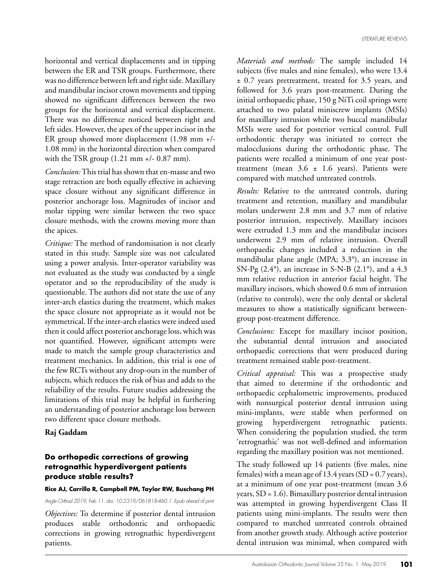horizontal and vertical displacements and in tipping between the ER and TSR groups. Furthermore, there was no difference between left and right side. Maxillary and mandibular incisor crown movements and tipping showed no significant differences between the two groups for the horizontal and vertical displacement. There was no difference noticed between right and left sides. However, the apex of the upper incisor in the ER group showed more displacement (1.98 mm +/- 1.08 mm) in the horizontal direction when compared with the TSR group (1.21 mm +/- 0.87 mm).

*Conclusion:* This trial has shown that en-masse and two stage retraction are both equally effective in achieving space closure without any significant difference in posterior anchorage loss. Magnitudes of incisor and molar tipping were similar between the two space closure methods, with the crowns moving more than the apices.

*Critique:* The method of randomisation is not clearly stated in this study. Sample size was not calculated using a power analysis. Inter-operator variability was not evaluated as the study was conducted by a single operator and so the reproducibility of the study is questionable. The authors did not state the use of any inter-arch elastics during the treatment, which makes the space closure not appropriate as it would not be symmetrical. If the inter-arch elastics were indeed used then it could affect posterior anchorage loss, which was not quantified. However, significant attempts were made to match the sample group characteristics and treatment mechanics. In addition, this trial is one of the few RCTs without any drop-outs in the number of subjects, which reduces the risk of bias and adds to the reliability of the results. Future studies addressing the limitations of this trial may be helpful in furthering an understanding of posterior anchorage loss between two different space closure methods.

## **Raj Gaddam**

# **Do orthopedic corrections of growing retrognathic hyperdivergent patients produce stable results?**

## **Rice AJ, Carrillo R, Campbell PM, Taylor RW, Buschang PH**

## *Angle Orthod 2019, Feb 11. doi: 10.2319/061818-460.1. Epub ahead of print*

*Objectives:* To determine if posterior dental intrusion produces stable orthodontic and orthopaedic corrections in growing retrognathic hyperdivergent patients.

*Materials and methods:* The sample included 14 subjects (five males and nine females), who were 13.4 ± 0.7 years pretreatment, treated for 3.5 years, and followed for 3.6 years post-treatment. During the initial orthopaedic phase, 150 g NiTi coil springs were attached to two palatal miniscrew implants (MSIs) for maxillary intrusion while two buccal mandibular MSIs were used for posterior vertical control. Full orthodontic therapy was initiated to correct the malocclusions during the orthodontic phase. The patients were recalled a minimum of one year posttreatment (mean  $3.6 \pm 1.6$  years). Patients were compared with matched untreated controls.

*Results:* Relative to the untreated controls, during treatment and retention, maxillary and mandibular molars underwent 2.8 mm and 3.7 mm of relative posterior intrusion, respectively. Maxillary incisors were extruded 1.3 mm and the mandibular incisors underwent 2.9 mm of relative intrusion. Overall orthopaedic changes included a reduction in the mandibular plane angle (MPA; 3.3°), an increase in SN-Pg  $(2.4^{\circ})$ , an increase in S-N-B  $(2.1^{\circ})$ , and a 4.3 mm relative reduction in anterior facial height. The maxillary incisors, which showed 0.6 mm of intrusion (relative to controls), were the only dental or skeletal measures to show a statistically significant betweengroup post-treatment difference.

*Conclusions:* Except for maxillary incisor position, the substantial dental intrusion and associated orthopaedic corrections that were produced during treatment remained stable post-treatment.

*Critical appraisal:* This was a prospective study that aimed to determine if the orthodontic and orthopaedic cephalometric improvements, produced with nonsurgical posterior dental intrusion using mini-implants, were stable when performed on growing hyperdivergent retrognathic patients. When considering the population studied, the term 'retrognathic' was not well-defined and information regarding the maxillary position was not mentioned.

The study followed up 14 patients (five males, nine females) with a mean age of  $13.4$  years (SD =  $0.7$  years), at a minimum of one year post-treatment (mean 3.6 years, SD = 1.6). Bimaxillary posterior dental intrusion was attempted in growing hyperdivergent Class II patients using mini-implants. The results were then compared to matched untreated controls obtained from another growth study. Although active posterior dental intrusion was minimal, when compared with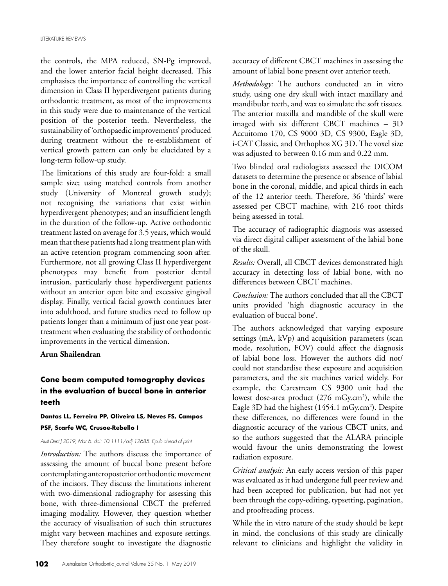the controls, the MPA reduced, SN-Pg improved, and the lower anterior facial height decreased. This emphasises the importance of controlling the vertical dimension in Class II hyperdivergent patients during orthodontic treatment, as most of the improvements in this study were due to maintenance of the vertical position of the posterior teeth. Nevertheless, the sustainability of 'orthopaedic improvements' produced during treatment without the re-establishment of vertical growth pattern can only be elucidated by a long-term follow-up study.

The limitations of this study are four-fold: a small sample size; using matched controls from another study (University of Montreal growth study); not recognising the variations that exist within hyperdivergent phenotypes; and an insufficient length in the duration of the follow-up. Active orthodontic treatment lasted on average for 3.5 years, which would mean that these patients had a long treatment plan with an active retention program commencing soon after. Furthermore, not all growing Class II hyperdivergent phenotypes may benefit from posterior dental intrusion, particularly those hyperdivergent patients without an anterior open bite and excessive gingival display. Finally, vertical facial growth continues later into adulthood, and future studies need to follow up patients longer than a minimum of just one year posttreatment when evaluating the stability of orthodontic improvements in the vertical dimension.

## **Arun Shailendran**

# **Cone beam computed tomography devices in the evaluation of buccal bone in anterior teeth**

## **Dantas LL, Ferreira PP, Oliveira LS, Neves FS, Campos PSF, Scarfe WC, Crusoe-Rebello I**

#### *Aust Dent J 2019, Mar 6. doi: 10.1111/adj.12685. Epub ahead of print*

*Introduction:* The authors discuss the importance of assessing the amount of buccal bone present before contemplating anteroposterior orthodontic movement of the incisors. They discuss the limitations inherent with two-dimensional radiography for assessing this bone, with three-dimensional CBCT the preferred imaging modality. However, they question whether the accuracy of visualisation of such thin structures might vary between machines and exposure settings. They therefore sought to investigate the diagnostic accuracy of different CBCT machines in assessing the amount of labial bone present over anterior teeth.

*Methodology:* The authors conducted an in vitro study, using one dry skull with intact maxillary and mandibular teeth, and wax to simulate the soft tissues. The anterior maxilla and mandible of the skull were imaged with six different CBCT machines – 3D Accuitomo 170, CS 9000 3D, CS 9300, Eagle 3D, i-CAT Classic, and Orthophos XG 3D. The voxel size was adjusted to between 0.16 mm and 0.22 mm.

Two blinded oral radiologists assessed the DICOM datasets to determine the presence or absence of labial bone in the coronal, middle, and apical thirds in each of the 12 anterior teeth. Therefore, 36 'thirds' were assessed per CBCT machine, with 216 root thirds being assessed in total.

The accuracy of radiographic diagnosis was assessed via direct digital calliper assessment of the labial bone of the skull.

*Results:* Overall, all CBCT devices demonstrated high accuracy in detecting loss of labial bone, with no differences between CBCT machines.

*Conclusion:* The authors concluded that all the CBCT units provided 'high diagnostic accuracy in the evaluation of buccal bone'.

The authors acknowledged that varying exposure settings (mA, kVp) and acquisition parameters (scan mode, resolution, FOV) could affect the diagnosis of labial bone loss. However the authors did not/ could not standardise these exposure and acquisition parameters, and the six machines varied widely. For example, the Carestream CS 9300 unit had the lowest dose-area product (276 mGy.cm<sup>2</sup>), while the Eagle  $3D$  had the highest (1454.1 mGy.cm<sup>2</sup>). Despite these differences, no differences were found in the diagnostic accuracy of the various CBCT units, and so the authors suggested that the ALARA principle would favour the units demonstrating the lowest radiation exposure.

*Critical analysis:* An early access version of this paper was evaluated as it had undergone full peer review and had been accepted for publication, but had not yet been through the copy-editing, typsetting, pagination, and proofreading process.

While the in vitro nature of the study should be kept in mind, the conclusions of this study are clinically relevant to clinicians and highlight the validity in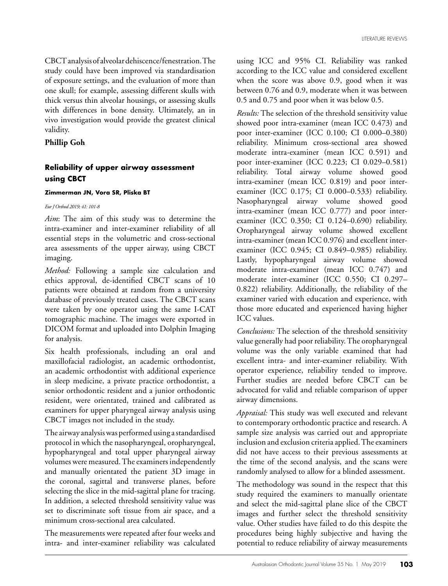CBCT analysis of alveolar dehiscence/fenestration. The study could have been improved via standardisation of exposure settings, and the evaluation of more than one skull; for example, assessing different skulls with thick versus thin alveolar housings, or assessing skulls with differences in bone density. Ultimately, an in vivo investigation would provide the greatest clinical validity.

## **Phillip Goh**

# **Reliability of upper airway assessment using CBCT**

#### **Zimmerman JN, Vora SR, Pliska BT**

#### *Eur J Orthod 2019; 41: 101-8*

*Aim*: The aim of this study was to determine the intra-examiner and inter-examiner reliability of all essential steps in the volumetric and cross-sectional area assessments of the upper airway, using CBCT imaging.

*Method:* Following a sample size calculation and ethics approval, de-identified CBCT scans of 10 patients were obtained at random from a university database of previously treated cases. The CBCT scans were taken by one operator using the same I-CAT tomographic machine. The images were exported in DICOM format and uploaded into Dolphin Imaging for analysis.

Six health professionals, including an oral and maxillofacial radiologist, an academic orthodontist, an academic orthodontist with additional experience in sleep medicine, a private practice orthodontist, a senior orthodontic resident and a junior orthodontic resident, were orientated, trained and calibrated as examiners for upper pharyngeal airway analysis using CBCT images not included in the study.

The airway analysis was performed using a standardised protocol in which the nasopharyngeal, oropharyngeal, hypopharyngeal and total upper pharyngeal airway volumes were measured. The examiners independently and manually orientated the patient 3D image in the coronal, sagittal and transverse planes, before selecting the slice in the mid-sagittal plane for tracing. In addition, a selected threshold sensitivity value was set to discriminate soft tissue from air space, and a minimum cross-sectional area calculated.

The measurements were repeated after four weeks and intra- and inter-examiner reliability was calculated

using ICC and 95% CI. Reliability was ranked according to the ICC value and considered excellent when the score was above 0.9, good when it was between 0.76 and 0.9, moderate when it was between 0.5 and 0.75 and poor when it was below 0.5.

*Results:* The selection of the threshold sensitivity value showed poor intra-examiner (mean ICC 0.473) and poor inter-examiner (ICC 0.100; CI 0.000–0.380) reliability. Minimum cross-sectional area showed moderate intra-examiner (mean ICC 0.591) and poor inter-examiner (ICC 0.223; CI 0.029–0.581) reliability. Total airway volume showed good intra-examiner (mean ICC 0.819) and poor interexaminer (ICC 0.175; CI 0.000–0.533) reliability. Nasopharyngeal airway volume showed good intra-examiner (mean ICC 0.777) and poor interexaminer (ICC 0.350; CI 0.124–0.690) reliability. Oropharyngeal airway volume showed excellent intra-examiner (mean ICC 0.976) and excellent interexaminer (ICC 0.945; CI 0.849–0.985) reliability. Lastly, hypopharyngeal airway volume showed moderate intra-examiner (mean ICC 0.747) and moderate inter-examiner (ICC 0.550; CI 0.297– 0.822) reliability. Additionally, the reliability of the examiner varied with education and experience, with those more educated and experienced having higher ICC values.

*Conclusions:* The selection of the threshold sensitivity value generally had poor reliability. The oropharyngeal volume was the only variable examined that had excellent intra- and inter-examiner reliability. With operator experience, reliability tended to improve. Further studies are needed before CBCT can be advocated for valid and reliable comparison of upper airway dimensions.

*Appraisal:* This study was well executed and relevant to contemporary orthodontic practice and research. A sample size analysis was carried out and appropriate inclusion and exclusion criteria applied. The examiners did not have access to their previous assessments at the time of the second analysis, and the scans were randomly analysed to allow for a blinded assessment.

The methodology was sound in the respect that this study required the examiners to manually orientate and select the mid-sagittal plane slice of the CBCT images and further select the threshold sensitivity value. Other studies have failed to do this despite the procedures being highly subjective and having the potential to reduce reliability of airway measurements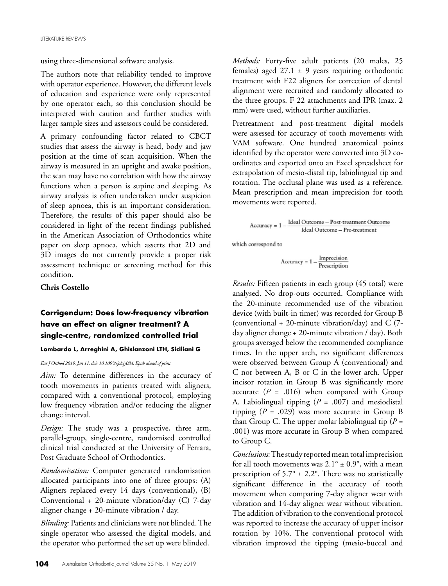using three-dimensional software analysis.

The authors note that reliability tended to improve with operator experience. However, the different levels of education and experience were only represented by one operator each, so this conclusion should be interpreted with caution and further studies with larger sample sizes and assessors could be considered.

A primary confounding factor related to CBCT studies that assess the airway is head, body and jaw position at the time of scan acquisition. When the airway is measured in an upright and awake position, the scan may have no correlation with how the airway functions when a person is supine and sleeping. As airway analysis is often undertaken under suspicion of sleep apnoea, this is an important consideration. Therefore, the results of this paper should also be considered in light of the recent findings published in the American Association of Orthodontics white paper on sleep apnoea, which asserts that 2D and 3D images do not currently provide a proper risk assessment technique or screening method for this condition.

## **Chris Costello**

# **Corrigendum: Does low-frequency vibration have an effect on aligner treatment? A single-centre, randomized controlled trial**

#### **Lombardo L, Arreghini A, Ghislanzoni LTH, Siciliani G**

*Eur J Orthod 2019, Jan 11. doi: 10.1093/ejo/cjy084. Epub ahead of print*

*Aim:* To determine differences in the accuracy of tooth movements in patients treated with aligners, compared with a conventional protocol, employing low frequency vibration and/or reducing the aligner change interval.

*Design:* The study was a prospective, three arm, parallel-group, single-centre, randomised controlled clinical trial conducted at the University of Ferrara, Post Graduate School of Orthodontics.

*Randomisation:* Computer generated randomisation allocated participants into one of three groups: (A) Aligners replaced every 14 days (conventional), (B) Conventional + 20-minute vibration/day (C) 7-day aligner change + 20-minute vibration / day.

*Blinding:* Patients and clinicians were not blinded. The single operator who assessed the digital models, and the operator who performed the set up were blinded.

*Methods:* Forty-five adult patients (20 males, 25 females) aged  $27.1 \pm 9$  years requiring orthodontic treatment with F22 aligners for correction of dental alignment were recruited and randomly allocated to the three groups. F 22 attachments and IPR (max. 2 mm) were used, without further auxiliaries.

Pretreatment and post-treatment digital models were assessed for accuracy of tooth movements with VAM software. One hundred anatomical points identified by the operator were converted into 3D coordinates and exported onto an Excel spreadsheet for extrapolation of mesio-distal tip, labiolingual tip and rotation. The occlusal plane was used as a reference. Mean prescription and mean imprecision for tooth movements were reported.

 $\text{Accuracy} = 1 - \frac{\text{Ideal Outcome} - \text{Post-treatment Outcome}}{\text{Ideal Outcome} - \text{Pre-treatment}}$ 

which correspond to

$$
Accuracy = 1 - \frac{Imprecision}{Prescription}
$$

*Results:* Fifteen patients in each group (45 total) were analysed. No drop-outs occurred. Compliance with the 20-minute recommended use of the vibration device (with built-in timer) was recorded for Group B (conventional + 20-minute vibration/day) and C (7 day aligner change + 20-minute vibration / day). Both groups averaged below the recommended compliance times. In the upper arch, no significant differences were observed between Group A (conventional) and C nor between A, B or C in the lower arch. Upper incisor rotation in Group B was significantly more accurate  $(P = .016)$  when compared with Group A. Labiolingual tipping (*P* = .007) and mesiodistal tipping  $(P = .029)$  was more accurate in Group B than Group C. The upper molar labiolingual tip  $(P =$ .001) was more accurate in Group B when compared to Group C.

*Conclusions:* The study reported mean total imprecision for all tooth movements was  $2.1^{\circ} \pm 0.9^{\circ}$ , with a mean prescription of 5.7 $\degree$  ± 2.2 $\degree$ . There was no statistically significant difference in the accuracy of tooth movement when comparing 7-day aligner wear with vibration and 14-day aligner wear without vibration. The addition of vibration to the conventional protocol was reported to increase the accuracy of upper incisor rotation by 10%. The conventional protocol with vibration improved the tipping (mesio-buccal and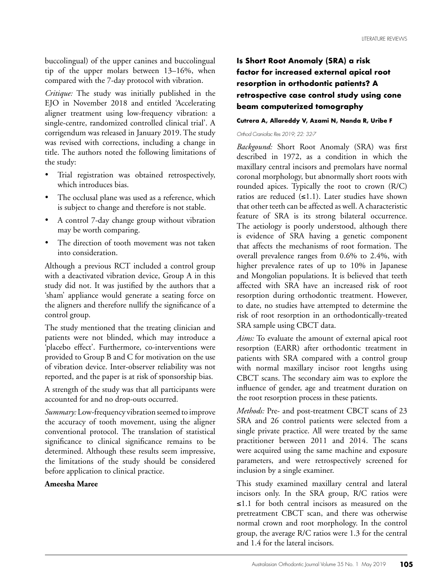buccolingual) of the upper canines and buccolingual tip of the upper molars between 13–16%, when compared with the 7-day protocol with vibration.

*Critique:* The study was initially published in the EJO in November 2018 and entitled 'Accelerating aligner treatment using low-frequency vibration: a single-centre, randomized controlled clinical trial'. A corrigendum was released in January 2019. The study was revised with corrections, including a change in title. The authors noted the following limitations of the study:

- Trial registration was obtained retrospectively, which introduces bias.
- The occlusal plane was used as a reference, which is subject to change and therefore is not stable.
- A control 7-day change group without vibration may be worth comparing.
- The direction of tooth movement was not taken into consideration.

Although a previous RCT included a control group with a deactivated vibration device, Group A in this study did not. It was justified by the authors that a 'sham' appliance would generate a seating force on the aligners and therefore nullify the significance of a control group.

The study mentioned that the treating clinician and patients were not blinded, which may introduce a 'placebo effect'. Furthermore, co-interventions were provided to Group B and C for motivation on the use of vibration device. Inter-observer reliability was not reported, and the paper is at risk of sponsorship bias.

A strength of the study was that all participants were accounted for and no drop-outs occurred.

*Summary:* Low-frequency vibration seemed to improve the accuracy of tooth movement, using the aligner conventional protocol. The translation of statistical significance to clinical significance remains to be determined. Although these results seem impressive, the limitations of the study should be considered before application to clinical practice.

# **Ameesha Maree**

# **Is Short Root Anomaly (SRA) a risk factor for increased external apical root resorption in orthodontic patients? A retrospective case control study using cone beam computerized tomography**

#### **Cutrera A, Allareddy V, Azami N, Nanda R, Uribe F**

#### *Orthod Craniofac Res 2019; 22: 32-7*

*Backgound:* Short Root Anomaly (SRA) was first described in 1972, as a condition in which the maxillary central incisors and premolars have normal coronal morphology, but abnormally short roots with rounded apices. Typically the root to crown (R/C) ratios are reduced (≤1.1). Later studies have shown that other teeth can be affected as well. A characteristic feature of SRA is its strong bilateral occurrence. The aetiology is poorly understood, although there is evidence of SRA having a genetic component that affects the mechanisms of root formation. The overall prevalence ranges from 0.6% to 2.4%, with higher prevalence rates of up to 10% in Japanese and Mongolian populations. It is believed that teeth affected with SRA have an increased risk of root resorption during orthodontic treatment. However, to date, no studies have attempted to determine the risk of root resorption in an orthodontically-treated SRA sample using CBCT data.

*Aims:* To evaluate the amount of external apical root resorption (EARR) after orthodontic treatment in patients with SRA compared with a control group with normal maxillary incisor root lengths using CBCT scans. The secondary aim was to explore the influence of gender, age and treatment duration on the root resorption process in these patients.

*Methods:* Pre- and post-treatment CBCT scans of 23 SRA and 26 control patients were selected from a single private practice. All were treated by the same practitioner between 2011 and 2014. The scans were acquired using the same machine and exposure parameters, and were retrospectively screened for inclusion by a single examiner.

This study examined maxillary central and lateral incisors only. In the SRA group, R/C ratios were ≤1.1 for both central incisors as measured on the pretreatment CBCT scan, and there was otherwise normal crown and root morphology. In the control group, the average R/C ratios were 1.3 for the central and 1.4 for the lateral incisors.